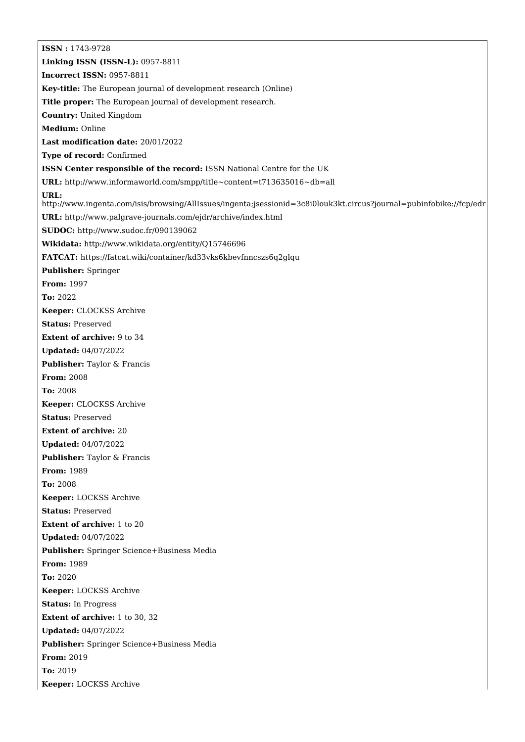**ISSN :** 1743-9728 **Linking ISSN (ISSN-L):** 0957-8811 **Incorrect ISSN:** 0957-8811 **Key-title:** The European journal of development research (Online) **Title proper:** The European journal of development research. **Country:** United Kingdom **Medium:** Online **Last modification date:** 20/01/2022 **Type of record:** Confirmed **ISSN Center responsible of the record:** ISSN National Centre for the UK **URL:** <http://www.informaworld.com/smpp/title~content=t713635016~db=all> **URL:** <http://www.ingenta.com/isis/browsing/AllIssues/ingenta;jsessionid=3c8i0louk3kt.circus?journal=pubinfobike://fcp/edr> **URL:** <http://www.palgrave-journals.com/ejdr/archive/index.html> **SUDOC:** <http://www.sudoc.fr/090139062> **Wikidata:** <http://www.wikidata.org/entity/Q15746696> **FATCAT:** <https://fatcat.wiki/container/kd33vks6kbevfnncszs6q2glqu> **Publisher:** Springer **From:** 1997 **To:** 2022 **Keeper:** CLOCKSS Archive **Status:** Preserved **Extent of archive:** 9 to 34 **Updated:** 04/07/2022 **Publisher:** Taylor & Francis **From:** 2008 **To:** 2008 **Keeper:** CLOCKSS Archive **Status:** Preserved **Extent of archive:** 20 **Updated:** 04/07/2022 **Publisher:** Taylor & Francis **From:** 1989 **To:** 2008 **Keeper:** LOCKSS Archive **Status:** Preserved **Extent of archive:** 1 to 20 **Updated:** 04/07/2022 **Publisher:** Springer Science+Business Media **From:** 1989 **To:** 2020 **Keeper:** LOCKSS Archive **Status:** In Progress **Extent of archive:** 1 to 30, 32 **Updated:** 04/07/2022 **Publisher:** Springer Science+Business Media **From:** 2019 **To:** 2019 **Keeper:** LOCKSS Archive